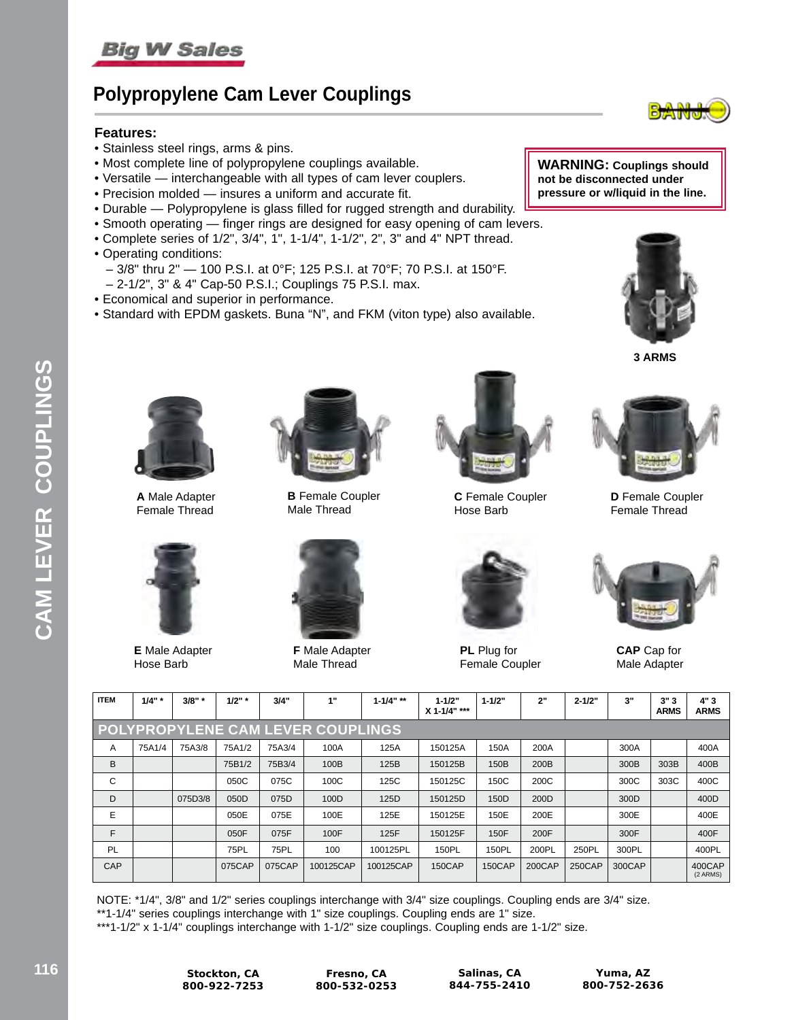

### **Polypropylene Cam Lever Couplings**

#### **Features:**

- Stainless steel rings, arms & pins.
- Most complete line of polypropylene couplings available.
- Versatile interchangeable with all types of cam lever couplers.
- Precision molded insures a uniform and accurate fit.
- Durable Polypropylene is glass filled for rugged strength and durability.
- Smooth operating finger rings are designed for easy opening of cam levers.
- Complete series of 1/2", 3/4", 1", 1-1/4", 1-1/2", 2", 3" and 4" NPT thread.
- Operating conditions:
	- 3/8" thru 2" 100 P.S.I. at 0°F; 125 P.S.I. at 70°F; 70 P.S.I. at 150°F.
- 2-1/2", 3" & 4" Cap-50 P.S.I.; Couplings 75 P.S.I. max.
- Economical and superior in performance.
- Standard with EPDM gaskets. Buna "N", and FKM (viton type) also available.

**WARNING: Couplings should not be disconnected under pressure or w/liquid in the line.**







**A** Male Adapter Female Thread



**B** Female Coupler Male Thread



**C** Female Coupler Hose Barb



**D** Female Coupler Female Thread



**E** Male Adapter Hose Barb



**F** Male Adapter Male Thread



**PL** Plug for Female Coupler



**CAP** Cap for Male Adapter

| <b>ITEM</b> | 1/4"   | 3/8"    | 1/2"        | 3/4"        | 1"                                       | $1 - 1/4"$ ** | $1 - 1/2"$<br>X 1-1/4" *** | $1 - 1/2"$ | 2"     | $2 - 1/2"$ | 3"     | 3"3<br><b>ARMS</b> | 4"3<br><b>ARMS</b> |
|-------------|--------|---------|-------------|-------------|------------------------------------------|---------------|----------------------------|------------|--------|------------|--------|--------------------|--------------------|
|             |        |         |             |             | <b>POLYPROPYLENE CAM LEVER COUPLINGS</b> |               |                            |            |        |            |        |                    |                    |
| A           | 75A1/4 | 75A3/8  | 75A1/2      | 75A3/4      | 100A                                     | 125A          | 150125A                    | 150A       | 200A   |            | 300A   |                    | 400A               |
| B           |        |         | 75B1/2      | 75B3/4      | 100B                                     | 125B          | 150125B                    | 150B       | 200B   |            | 300B   | 303B               | 400B               |
| C           |        |         | 050C        | 075C        | 100C                                     | 125C          | 150125C                    | 150C       | 200C   |            | 300C   | 303C               | 400C               |
| D           |        | 075D3/8 | 050D        | 075D        | 100D                                     | 125D          | 150125D                    | 150D       | 200D   |            | 300D   |                    | 400D               |
| Е           |        |         | 050E        | 075E        | 100E                                     | 125E          | 150125E                    | 150E       | 200E   |            | 300E   |                    | 400E               |
| F           |        |         | 050F        | 075F        | 100F                                     | 125F          | 150125F                    | 150F       | 200F   |            | 300F   |                    | 400F               |
| PL          |        |         | <b>75PL</b> | <b>75PL</b> | 100                                      | 100125PL      | 150PL                      | 150PL      | 200PL  | 250PL      | 300PL  |                    | 400PL              |
| CAP         |        |         | 075CAP      | 075CAP      | 100125CAP                                | 100125CAP     | 150CAP                     | 150CAP     | 200CAP | 250CAP     | 300CAP |                    | 400CAP<br>(2 ARMS) |

NOTE: \*1/4", 3/8" and 1/2" series couplings interchange with 3/4" size couplings. Coupling ends are 3/4" size. \*\*1-1/4" series couplings interchange with 1" size couplings. Coupling ends are 1" size. \*\*\*1-1/2" x 1-1/4" couplings interchange with 1-1/2" size couplings. Coupling ends are 1-1/2" size.

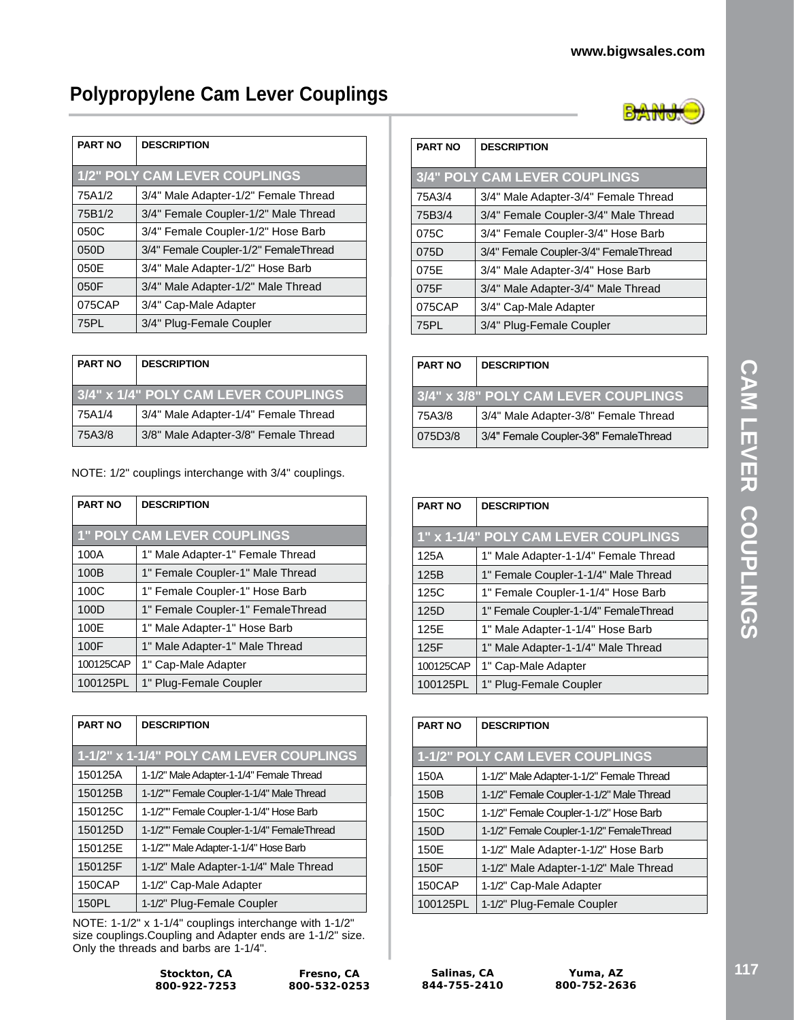# **Polypropylene Cam Lever Couplings**

| <b>PART NO</b> | <b>DESCRIPTION</b>                    |  |  |  |  |
|----------------|---------------------------------------|--|--|--|--|
|                | <b>1/2" POLY CAM LEVER COUPLINGS</b>  |  |  |  |  |
| 75A1/2         | 3/4" Male Adapter-1/2" Female Thread  |  |  |  |  |
| 75B1/2         | 3/4" Female Coupler-1/2" Male Thread  |  |  |  |  |
| 050C           | 3/4" Female Coupler-1/2" Hose Barb    |  |  |  |  |
| 050D           | 3/4" Female Coupler-1/2" FemaleThread |  |  |  |  |
| 050E           | 3/4" Male Adapter-1/2" Hose Barb      |  |  |  |  |
| 050F           | 3/4" Male Adapter-1/2" Male Thread    |  |  |  |  |
| 075CAP         | 3/4" Cap-Male Adapter                 |  |  |  |  |
| <b>75PL</b>    | 3/4" Plug-Female Coupler              |  |  |  |  |

| <b>PART NO</b>                       | <b>DESCRIPTION</b>                   |  |  |
|--------------------------------------|--------------------------------------|--|--|
| 3/4" x 1/4" POLY CAM LEVER COUPLINGS |                                      |  |  |
| 75A1/4                               | 3/4" Male Adapter-1/4" Female Thread |  |  |
| 75A3/8                               | 3/8" Male Adapter-3/8" Female Thread |  |  |

NOTE: 1/2" couplings interchange with 3/4" couplings.

| <b>PART NO</b> | <b>DESCRIPTION</b>                 |
|----------------|------------------------------------|
|                |                                    |
|                | <b>1" POLY CAM LEVER COUPLINGS</b> |
| 100A           | 1" Male Adapter-1" Female Thread   |
| 100B           | 1" Female Coupler-1" Male Thread   |
| 100C           | 1" Female Coupler-1" Hose Barb     |
| 100D           | 1" Female Coupler-1" FemaleThread  |
| 100E           | 1" Male Adapter-1" Hose Barb       |
| 100F           | 1" Male Adapter-1" Male Thread     |
| 100125CAP      | 1" Cap-Male Adapter                |
| 100125PL       | 1" Plug-Female Coupler             |

| <b>PART NO</b>                           | <b>DESCRIPTION</b>                         |  |
|------------------------------------------|--------------------------------------------|--|
| 1-1/2" x 1-1/4" POLY CAM LEVER COUPLINGS |                                            |  |
| 150125A                                  | 1-1/2" Male Adapter-1-1/4" Female Thread   |  |
| 150125B                                  | 1-1/2"" Female Coupler-1-1/4" Male Thread  |  |
| 150125C                                  | 1-1/2"" Female Coupler-1-1/4" Hose Barb    |  |
| 150125D                                  | 1-1/2"" Female Coupler-1-1/4" FemaleThread |  |
| 150125E                                  | 1-1/2"" Male Adapter-1-1/4" Hose Barb      |  |
| 150125F                                  | 1-1/2" Male Adapter-1-1/4" Male Thread     |  |
| 150CAP                                   | 1-1/2" Cap-Male Adapter                    |  |
| 150PL                                    | 1-1/2" Plug-Female Coupler                 |  |

NOTE: 1-1/2" x 1-1/4" couplings interchange with 1-1/2" size couplings.Coupling and Adapter ends are 1-1/2" size. Only the threads and barbs are 1-1/4".

| <b>PART NO</b> | <b>DESCRIPTION</b>                    |
|----------------|---------------------------------------|
|                | <b>3/4" POLY CAM LEVER COUPLINGS</b>  |
| 75A3/4         | 3/4" Male Adapter-3/4" Female Thread  |
| 75B3/4         | 3/4" Female Coupler-3/4" Male Thread  |
| 075C           | 3/4" Female Coupler-3/4" Hose Barb    |
| 075D           | 3/4" Female Coupler-3/4" FemaleThread |
| 075E           | 3/4" Male Adapter-3/4" Hose Barb      |
| 075F           | 3/4" Male Adapter-3/4" Male Thread    |
| 075CAP         | 3/4" Cap-Male Adapter                 |
| 75PL           | 3/4" Plug-Female Coupler              |

| <b>PART NO</b> | <b>DESCRIPTION</b>                    |  |  |  |
|----------------|---------------------------------------|--|--|--|
|                | 3/4" x 3/8" POLY CAM LEVER COUPLINGS  |  |  |  |
| 75A3/8         | 3/4" Male Adapter-3/8" Female Thread  |  |  |  |
| 075D3/8        | 3/4" Female Coupler-3⁄8" FemaleThread |  |  |  |

| <b>PART NO</b> | <b>DESCRIPTION</b>                    |
|----------------|---------------------------------------|
|                | 1" x 1-1/4" POLY CAM LEVER COUPLINGS  |
| 125A           | 1" Male Adapter-1-1/4" Female Thread  |
| 125B           | 1" Female Coupler-1-1/4" Male Thread  |
| 125C           | 1" Female Coupler-1-1/4" Hose Barb    |
| 125D           | 1" Female Coupler-1-1/4" FemaleThread |
| 125E           | 1" Male Adapter-1-1/4" Hose Barb      |
| 125F           | 1" Male Adapter-1-1/4" Male Thread    |
| 100125CAP      | 1" Cap-Male Adapter                   |
| 100125PL       | 1" Plug-Female Coupler                |

| <b>PART NO</b> | <b>DESCRIPTION</b>                        |
|----------------|-------------------------------------------|
|                | <b>1-1/2" POLY CAM LEVER COUPLINGS</b>    |
| 150A           | 1-1/2" Male Adapter-1-1/2" Female Thread  |
| 150B           | 1-1/2" Female Coupler-1-1/2" Male Thread  |
| 150C           | 1-1/2" Female Coupler-1-1/2" Hose Barb    |
| 150D           | 1-1/2" Female Coupler-1-1/2" FemaleThread |
| 150E           | 1-1/2" Male Adapter-1-1/2" Hose Barb      |
| 150F           | 1-1/2" Male Adapter-1-1/2" Male Thread    |
| 150CAP         | 1-1/2" Cap-Male Adapter                   |
| 100125PL       | 1-1/2" Plug-Female Coupler                |

٦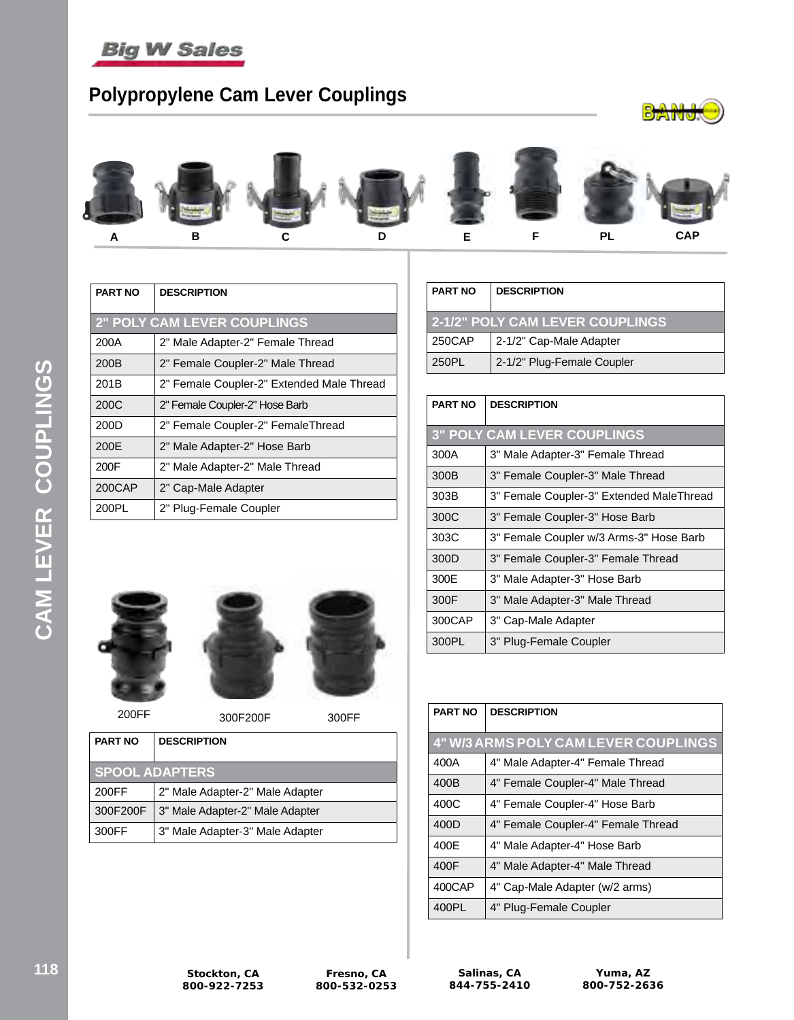

# **Polypropylene Cam Lever Couplings**





| <b>PART NO</b> | <b>DESCRIPTION</b>                        |  |  |  |  |
|----------------|-------------------------------------------|--|--|--|--|
|                | <b>2" POLY CAM LEVER COUPLINGS</b>        |  |  |  |  |
| 200A           | 2" Male Adapter-2" Female Thread          |  |  |  |  |
| 200B           | 2" Female Coupler-2" Male Thread          |  |  |  |  |
| 201B           | 2" Female Coupler-2" Extended Male Thread |  |  |  |  |
| 200C           | 2" Female Coupler-2" Hose Barb            |  |  |  |  |
| 200D           | 2" Female Coupler-2" FemaleThread         |  |  |  |  |
| 200E           | 2" Male Adapter-2" Hose Barb              |  |  |  |  |
| 200F           | 2" Male Adapter-2" Male Thread            |  |  |  |  |
| 200CAP         | 2" Cap-Male Adapter                       |  |  |  |  |
| 200PL          | 2" Plug-Female Coupler                    |  |  |  |  |

| <b>PART NO</b>                         | <b>DESCRIPTION</b>         |  |  |  |
|----------------------------------------|----------------------------|--|--|--|
| <b>2-1/2" POLY CAM LEVER COUPLINGS</b> |                            |  |  |  |
| 250CAP                                 | 2-1/2" Cap-Male Adapter    |  |  |  |
| 250PL                                  | 2-1/2" Plug-Female Coupler |  |  |  |

| <b>PART NO</b> | <b>DESCRIPTION</b>                       |  |  |  |
|----------------|------------------------------------------|--|--|--|
|                | <b>3" POLY CAM LEVER COUPLINGS</b>       |  |  |  |
| 300A           | 3" Male Adapter-3" Female Thread         |  |  |  |
| 300B           | 3" Female Coupler-3" Male Thread         |  |  |  |
| 303B           | 3" Female Coupler-3" Extended MaleThread |  |  |  |
| 300C           | 3" Female Coupler-3" Hose Barb           |  |  |  |
| 303C           | 3" Female Coupler w/3 Arms-3" Hose Barb  |  |  |  |
| 300D           | 3" Female Coupler-3" Female Thread       |  |  |  |
| 300E           | 3" Male Adapter-3" Hose Barb             |  |  |  |
| 300F           | 3" Male Adapter-3" Male Thread           |  |  |  |
| 300CAP         | 3" Cap-Male Adapter                      |  |  |  |
| 300PL          | 3" Plug-Female Coupler                   |  |  |  |



| <b>PART NO</b>                           | <b>DESCRIPTION</b>              |  |  |
|------------------------------------------|---------------------------------|--|--|
| <b>SPOOL ADAPTERS</b>                    |                                 |  |  |
| 2" Male Adapter-2" Male Adapter<br>200FF |                                 |  |  |
| 300F200F                                 | 3" Male Adapter-2" Male Adapter |  |  |

300FF 3" Male Adapter-3" Male Adapter

| <b>PART NO</b> | <b>DESCRIPTION</b>                          |  |  |  |  |  |
|----------------|---------------------------------------------|--|--|--|--|--|
|                | <b>4" W/3 ARMS POLY CAM LEVER COUPLINGS</b> |  |  |  |  |  |
| 400A           | 4" Male Adapter-4" Female Thread            |  |  |  |  |  |
| 400B           | 4" Female Coupler-4" Male Thread            |  |  |  |  |  |
| 400C           | 4" Female Coupler-4" Hose Barb              |  |  |  |  |  |
| 400D           | 4" Female Coupler-4" Female Thread          |  |  |  |  |  |
| 400E           | 4" Male Adapter-4" Hose Barb                |  |  |  |  |  |
| 400F           | 4" Male Adapter-4" Male Thread              |  |  |  |  |  |
| 400CAP         | 4" Cap-Male Adapter (w/2 arms)              |  |  |  |  |  |
| 400PL          | 4" Plug-Female Coupler                      |  |  |  |  |  |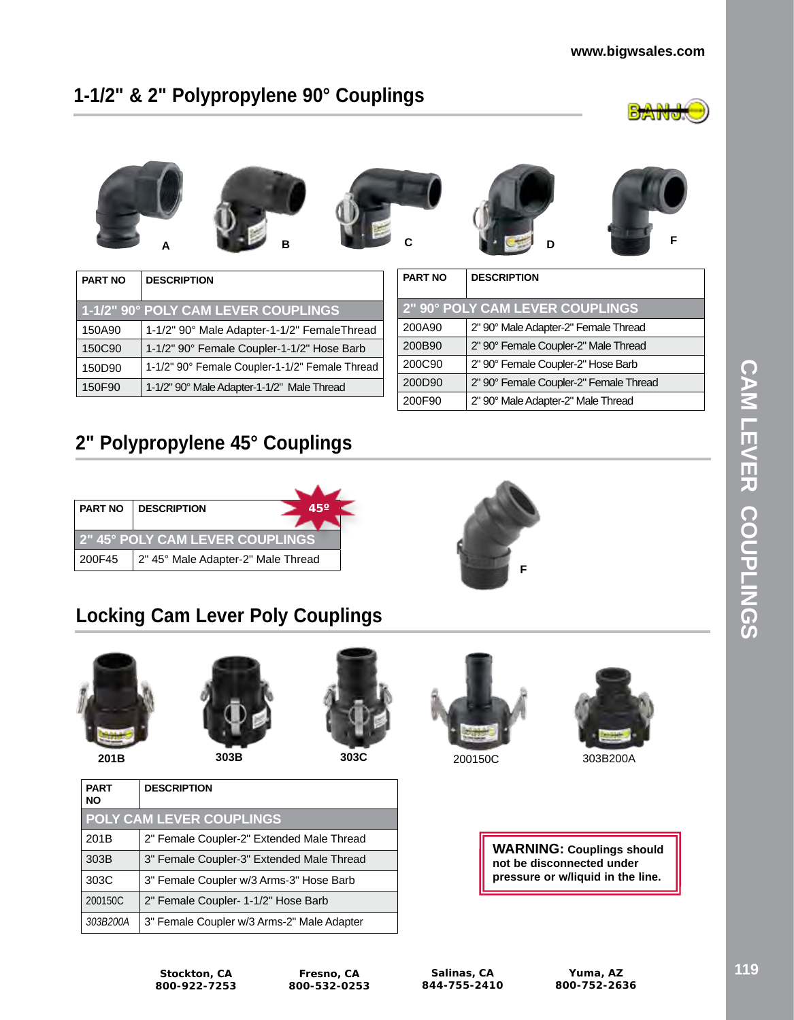#### **www.bigwsales.com**

# **1-1/2" & 2" Polypropylene 90° Couplings**









|  | F |
|--|---|

| <b>PART NO</b> | <b>DESCRIPTION</b>                             |
|----------------|------------------------------------------------|
|                | 1-1/2" 90° POLY CAM LEVER COUPLINGS            |
| 150A90         | 1-1/2" 90° Male Adapter-1-1/2" FemaleThread    |
| 150C90         | 1-1/2" 90° Female Coupler-1-1/2" Hose Barb     |
| 150D90         | 1-1/2" 90° Female Coupler-1-1/2" Female Thread |
| 150F90         | 1-1/2" 90° Male Adapter-1-1/2" Male Thread     |

| <b>PART NO</b> | <b>DESCRIPTION</b>                     |
|----------------|----------------------------------------|
|                | 2" 90° POLY CAM LEVER COUPLINGS        |
| 200A90         | 2" 90° Male Adapter-2" Female Thread   |
| 200B90         | 2" 90° Female Coupler-2" Male Thread   |
| 200C90         | 2" 90° Female Coupler-2" Hose Barb     |
| 200D90         | 2" 90° Female Coupler-2" Female Thread |
| 200F90         | 2" 90° Male Adapter-2" Male Thread     |

# **2" Polypropylene 45° Couplings**

|                                        | $45^\circ$<br><b>PART NO   DESCRIPTION</b> |  |  |  |  |  |
|----------------------------------------|--------------------------------------------|--|--|--|--|--|
|                                        |                                            |  |  |  |  |  |
| <b>2" 45° POLY CAM LEVER COUPLINGS</b> |                                            |  |  |  |  |  |
| 200F45                                 | 2" 45° Male Adapter-2" Male Thread         |  |  |  |  |  |

# **F**

# **Locking Cam Lever Poly Couplings**



**PART NO**



201B 2" Female Coupler-2" Extended Male Thread 303B 3" Female Coupler-3" Extended Male Thread 303C 3" Female Coupler w/3 Arms-3" Hose Barb

*303B200A* 3" Female Coupler w/3 Arms-2" Male Adapter

**DESCRIPTION**

**POLY CAM LEVER COUPLINGS**







**201B 303B 303C** 200150C 303B200A

**WARNING: Couplings should not be disconnected under pressure or w/liquid in the line.**

**Stockton, CA 800-922-7253**

200150C | 2" Female Coupler- 1-1/2" Hose Barb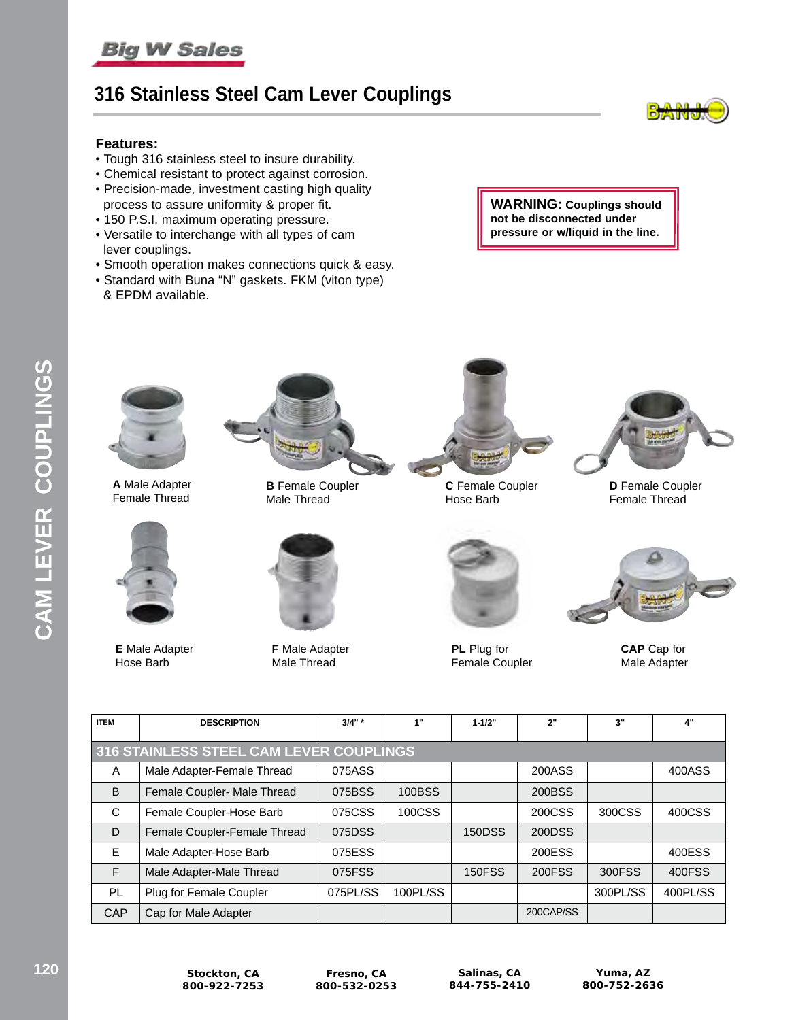## **316 Stainless Steel Cam Lever Couplings**



#### **Features:**

- Tough 316 stainless steel to insure durability.
- Chemical resistant to protect against corrosion.
- Precision-made, investment casting high quality process to assure uniformity & proper fit.
- 150 P.S.I. maximum operating pressure.
- Versatile to interchange with all types of cam lever couplings.
- Smooth operation makes connections quick & easy.
- Standard with Buna "N" gaskets. FKM (viton type) & EPDM available.

**WARNING: Couplings should not be disconnected under pressure or w/liquid in the line.**



**A** Male Adapter Female Thread



**E** Male Adapter Hose Barb



**B** Female Coupler Male Thread



**F** Male Adapter Male Thread



**C** Female Coupler Hose Barb



**D** Female Coupler Female Thread



**PL** Plug for Female Coupler



**CAP** Cap for Male Adapter

| <b>ITEM</b>  | <b>DESCRIPTION</b>                      | $3/4"$ * | 1"       | $1 - 1/2"$    | 2"        | 3"       | 4"       |  |
|--------------|-----------------------------------------|----------|----------|---------------|-----------|----------|----------|--|
|              | 316 STAINLESS STEEL CAM LEVER COUPLINGS |          |          |               |           |          |          |  |
| A            | Male Adapter-Female Thread              | 075ASS   |          |               | 200ASS    |          | 400ASS   |  |
| <sub>B</sub> | Female Coupler- Male Thread             | 075BSS   | 100BSS   |               | 200BSS    |          |          |  |
| C            | Female Coupler-Hose Barb                | 075CSS   | 100CSS   |               | 200CSS    | 300CSS   | 400CSS   |  |
| D            | Female Coupler-Female Thread            | 075DSS   |          | <b>150DSS</b> | 200DSS    |          |          |  |
| E            | Male Adapter-Hose Barb                  | 075ESS   |          |               | 200ESS    |          | 400ESS   |  |
| E            | Male Adapter-Male Thread                | 075FSS   |          | <b>150FSS</b> | 200FSS    | 300FSS   | 400FSS   |  |
| PL           | Plug for Female Coupler                 | 075PL/SS | 100PL/SS |               |           | 300PL/SS | 400PL/SS |  |
| <b>CAP</b>   | Cap for Male Adapter                    |          |          |               | 200CAP/SS |          |          |  |

**Fresno, CA 800-532-0253**

**Salinas, CA 844-755-2410**

**Yuma, AZ 800-752-2636**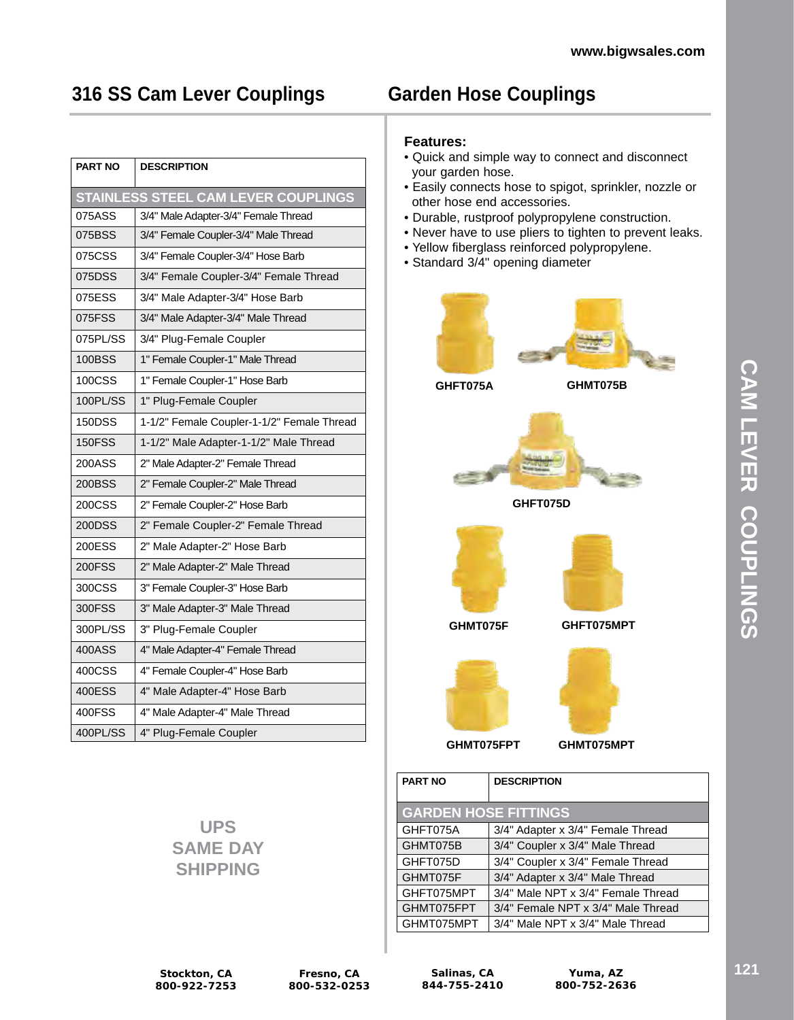# **316 SS Cam Lever Couplings**

| <b>PART NO</b> | <b>DESCRIPTION</b>                         |
|----------------|--------------------------------------------|
|                | <b>STAINLESS STEEL CAM LEVER COUPLINGS</b> |
| 075ASS         | 3/4" Male Adapter-3/4" Female Thread       |
| 075BSS         | 3/4" Female Coupler-3/4" Male Thread       |
| 075CSS         | 3/4" Female Coupler-3/4" Hose Barb         |
| 075DSS         | 3/4" Female Coupler-3/4" Female Thread     |
| 075ESS         | 3/4" Male Adapter-3/4" Hose Barb           |
| 075FSS         | 3/4" Male Adapter-3/4" Male Thread         |
| 075PL/SS       | 3/4" Plug-Female Coupler                   |
| <b>100BSS</b>  | 1" Female Coupler-1" Male Thread           |
| <b>100CSS</b>  | 1" Female Coupler-1" Hose Barb             |
| 100PL/SS       | 1" Plug-Female Coupler                     |
| <b>150DSS</b>  | 1-1/2" Female Coupler-1-1/2" Female Thread |
| <b>150FSS</b>  | 1-1/2" Male Adapter-1-1/2" Male Thread     |
| 200ASS         | 2" Male Adapter-2" Female Thread           |
| 200BSS         | 2" Female Coupler-2" Male Thread           |
| <b>200CSS</b>  | 2" Female Coupler-2" Hose Barb             |
| 200DSS         | 2" Female Coupler-2" Female Thread         |
| <b>200ESS</b>  | 2" Male Adapter-2" Hose Barb               |
| <b>200FSS</b>  | 2" Male Adapter-2" Male Thread             |
| 300CSS         | 3" Female Coupler-3" Hose Barb             |
| 300FSS         | 3" Male Adapter-3" Male Thread             |
| 300PL/SS       | 3" Plug-Female Coupler                     |
| 400ASS         | 4" Male Adapter-4" Female Thread           |
| 400CSS         | 4" Female Coupler-4" Hose Barb             |
| 400ESS         | 4" Male Adapter-4" Hose Barb               |
| 400FSS         | 4" Male Adapter-4" Male Thread             |
| 400PL/SS       | 4" Plug-Female Coupler                     |

# **Garden Hose Couplings**

#### **Features:**

- Quick and simple way to connect and disconnect your garden hose.
- Easily connects hose to spigot, sprinkler, nozzle or other hose end accessories.
- Durable, rustproof polypropylene construction.
- Never have to use pliers to tighten to prevent leaks.
- Yellow fiberglass reinforced polypropylene.
- Standard 3/4" opening diameter



| <b>PART NO</b>              | <b>DESCRIPTION</b>                 |  |  |  |  |
|-----------------------------|------------------------------------|--|--|--|--|
| <b>GARDEN HOSE FITTINGS</b> |                                    |  |  |  |  |
| GHFT075A                    | 3/4" Adapter x 3/4" Female Thread  |  |  |  |  |
| GHMT075B                    | 3/4" Coupler x 3/4" Male Thread    |  |  |  |  |
| GHFT075D                    | 3/4" Coupler x 3/4" Female Thread  |  |  |  |  |
| GHMT075F                    | 3/4" Adapter x 3/4" Male Thread    |  |  |  |  |
| GHFT075MPT                  | 3/4" Male NPT x 3/4" Female Thread |  |  |  |  |
| GHMT075FPT                  | 3/4" Female NPT x 3/4" Male Thread |  |  |  |  |
| GHMT075MPT                  | 3/4" Male NPT x 3/4" Male Thread   |  |  |  |  |

**UPS SAME DAY SHIPPING**

**Stockton, CA 800-922-7253**

**Salinas, CA 844-755-2410**

**Yuma, AZ 800-752-2636**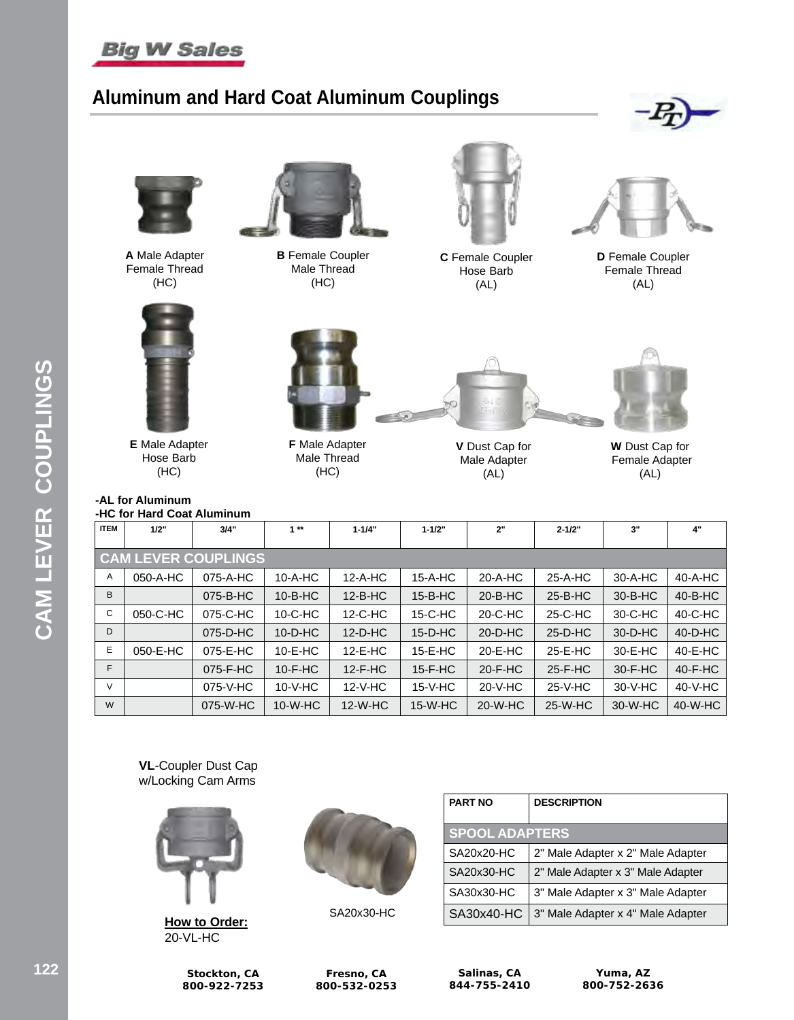

# **Aluminum and Hard Coat Aluminum Couplings**





**A** Male Adapter Female Thread (HC)



**B** Female Coupler Male Thread (HC)



**C** Female Coupler Hose Barb (AL)



**D** Female Coupler Female Thread (AL)



**E** Male Adapter Hose Barb (HC)

#### **-AL for Aluminum -HC for Hard Coat Aluminum**



**F** Male Adapter Male Thread (HC)



**V** Dust Cap for Male Adapter (AL)



**W** Dust Cap for Female Adapter (AL)

| <b>ITEM</b>    | 1/2"                       | 3/4"     | $1**$          | $1 - 1/4"$ | $1 - 1/2"$     | 2"            | $2 - 1/2"$ | 3"             | 4"            |
|----------------|----------------------------|----------|----------------|------------|----------------|---------------|------------|----------------|---------------|
|                | <b>CAM LEVER COUPLINGS</b> |          |                |            |                |               |            |                |               |
| A              | 050-A-HC                   | 075-A-HC | 10-A-HC        | $12-A-HC$  | 15-A-HC        | 20-A-HC       | 25-A-HC    | 30-A-HC        | 40-A-HC       |
| B <sub>1</sub> |                            | 075-B-HC | $10 - B - H C$ | $12-B-HC$  | $15 - B - H C$ | $20 - B - HC$ | $25-B-HC$  | $30 - B - H C$ | $40 - B - HC$ |
| C              | 050-C-HC                   | 075-C-HC | $10-C-HC$      | $12-C-HC$  | 15-C-HC        | 20-C-HC       | 25-C-HC    | 30-C-HC        | 40-C-HC       |
| D              |                            | 075-D-HC | $10-D-HC$      | $12-D-HC$  | $15-D-HC$      | $20-D-HC$     | $25-D-HC$  | 30-D-HC        | 40-D-HC       |
| E              | 050-E-HC                   | 075-E-HC | $10-E-HC$      | 12-E-HC    | 15-E-HC        | 20-E-HC       | 25-E-HC    | 30-E-HC        | 40-E-HC       |
| F              |                            | 075-F-HC | $10-F-HC$      | $12-F-HC$  | $15-F-HC$      | $20-F-HC$     | $25-F-HC$  | $30-F-HC$      | $40-F-HC$     |
| $\vee$         |                            | 075-V-HC | $10-V-HC$      | $12-V-HC$  | $15-V-HC$      | 20-V-HC       | 25-V-HC    | $30-V-HC$      | 40-V-HC       |
| W              |                            | 075-W-HC | $10-W-HC$      | $12-W-HC$  | $15-W-HC$      | 20-W-HC       | 25-W-HC    | 30-W-HC        | 40-W-HC       |

**VL**-Coupler Dust Cap w/Locking Cam Arms



**How to Order:** 20-VL-HC



SA20x30-HC

| <b>PART NO</b>        | <b>DESCRIPTION</b>                |  |
|-----------------------|-----------------------------------|--|
| <b>SPOOL ADAPTERS</b> |                                   |  |
| SA20x20-HC            | 2" Male Adapter x 2" Male Adapter |  |
| SA20x30-HC            | 2" Male Adapter x 3" Male Adapter |  |
| SA30x30-HC            | 3" Male Adapter x 3" Male Adapter |  |
| SA30x40-HC            | 3" Male Adapter x 4" Male Adapter |  |

**Fresno, CA 800-532-0253**

**Salinas, CA 844-755-2410**